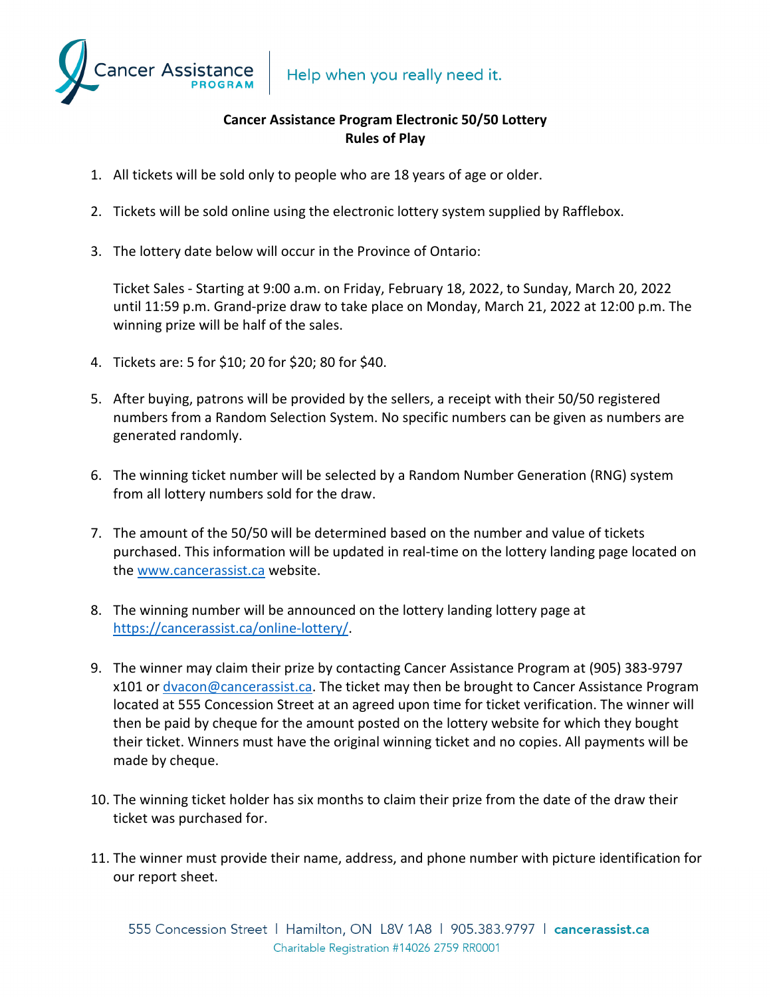Help when you really need it.



## **Cancer Assistance Program Electronic 50/50 Lottery Rules of Play**

- 1. All tickets will be sold only to people who are 18 years of age or older.
- 2. Tickets will be sold online using the electronic lottery system supplied by Rafflebox.
- 3. The lottery date below will occur in the Province of Ontario:

Ticket Sales - Starting at 9:00 a.m. on Friday, February 18, 2022, to Sunday, March 20, 2022 until 11:59 p.m. Grand-prize draw to take place on Monday, March 21, 2022 at 12:00 p.m. The winning prize will be half of the sales.

- 4. Tickets are: 5 for \$10; 20 for \$20; 80 for \$40.
- 5. After buying, patrons will be provided by the sellers, a receipt with their 50/50 registered numbers from a Random Selection System. No specific numbers can be given as numbers are generated randomly.
- 6. The winning ticket number will be selected by a Random Number Generation (RNG) system from all lottery numbers sold for the draw.
- 7. The amount of the 50/50 will be determined based on the number and value of tickets purchased. This information will be updated in real-time on the lottery landing page located on the [www.cancerassist.ca](http://www.cancerassist.ca/) website.
- 8. The winning number will be announced on the lottery landing lottery page at [https://cancerassist.ca/online-lottery/.](https://cancerassist.ca/online-lottery/)
- 9. The winner may claim their prize by contacting Cancer Assistance Program at (905) 383-9797 x101 or [dvacon@cancerassist.ca.](mailto:dvacon@cancerassist.ca) The ticket may then be brought to Cancer Assistance Program located at 555 Concession Street at an agreed upon time for ticket verification. The winner will then be paid by cheque for the amount posted on the lottery website for which they bought their ticket. Winners must have the original winning ticket and no copies. All payments will be made by cheque.
- 10. The winning ticket holder has six months to claim their prize from the date of the draw their ticket was purchased for.
- 11. The winner must provide their name, address, and phone number with picture identification for our report sheet.